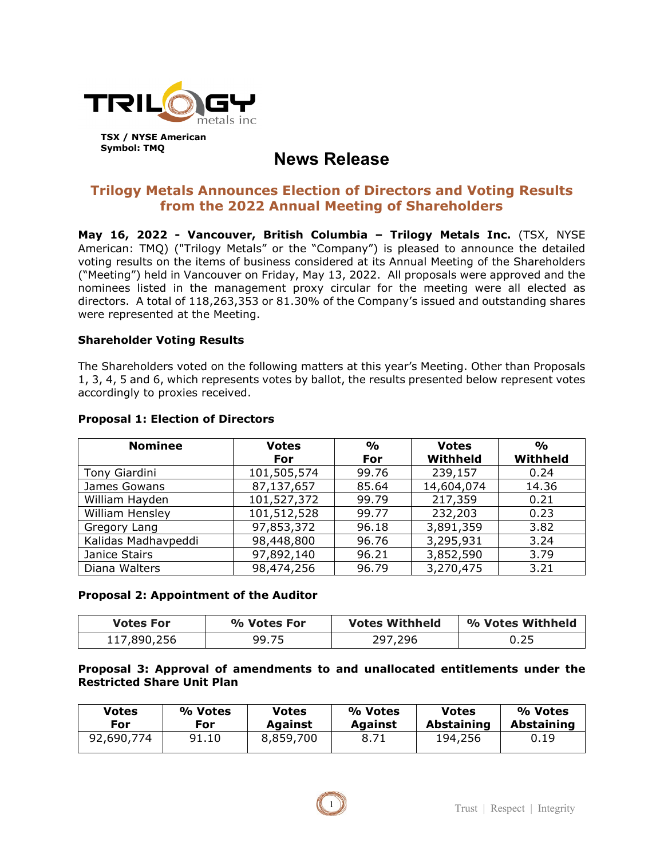

# **News Release**

# **Trilogy Metals Announces Election of Directors and Voting Results from the 2022 Annual Meeting of Shareholders**

**May 16, 2022 - Vancouver, British Columbia – Trilogy Metals Inc.** (TSX, NYSE American: TMQ) ("Trilogy Metals" or the "Company") is pleased to announce the detailed voting results on the items of business considered at its Annual Meeting of the Shareholders ("Meeting") held in Vancouver on Friday, May 13, 2022. All proposals were approved and the nominees listed in the management proxy circular for the meeting were all elected as directors. A total of 118,263,353 or 81.30% of the Company's issued and outstanding shares were represented at the Meeting.

### **Shareholder Voting Results**

The Shareholders voted on the following matters at this year's Meeting. Other than Proposals 1, 3, 4, 5 and 6, which represents votes by ballot, the results presented below represent votes accordingly to proxies received.

| <b>Nominee</b>      | <b>Votes</b> | $\frac{O}{O}$ | <b>Votes</b> | $\frac{0}{0}$ |
|---------------------|--------------|---------------|--------------|---------------|
|                     | For          | For           | Withheld     | Withheld      |
| Tony Giardini       | 101,505,574  | 99.76         | 239,157      | 0.24          |
| James Gowans        | 87,137,657   | 85.64         | 14,604,074   | 14.36         |
| William Hayden      | 101,527,372  | 99.79         | 217,359      | 0.21          |
| William Hensley     | 101,512,528  | 99.77         | 232,203      | 0.23          |
| Gregory Lang        | 97,853,372   | 96.18         | 3,891,359    | 3.82          |
| Kalidas Madhavpeddi | 98,448,800   | 96.76         | 3,295,931    | 3.24          |
| Janice Stairs       | 97,892,140   | 96.21         | 3,852,590    | 3.79          |
| Diana Walters       | 98,474,256   | 96.79         | 3,270,475    | 3.21          |

#### **Proposal 1: Election of Directors**

#### **Proposal 2: Appointment of the Auditor**

| <b>Votes For</b> | % Votes For | <b>Votes Withheld</b> | % Votes Withheld |
|------------------|-------------|-----------------------|------------------|
| 117,890,256      | 99.75       | 297,296               | 0.25             |

#### **Proposal 3: Approval of amendments to and unallocated entitlements under the Restricted Share Unit Plan**

| <b>Votes</b> | % Votes | <b>Votes</b>   | % Votes        | Votes      | % Votes           |
|--------------|---------|----------------|----------------|------------|-------------------|
| For          | For     | <b>Against</b> | <b>Against</b> | Abstaining | <b>Abstaining</b> |
| 92,690,774   | 91.10   | 8,859,700      | 8.71           | 194,256    | 0.19              |